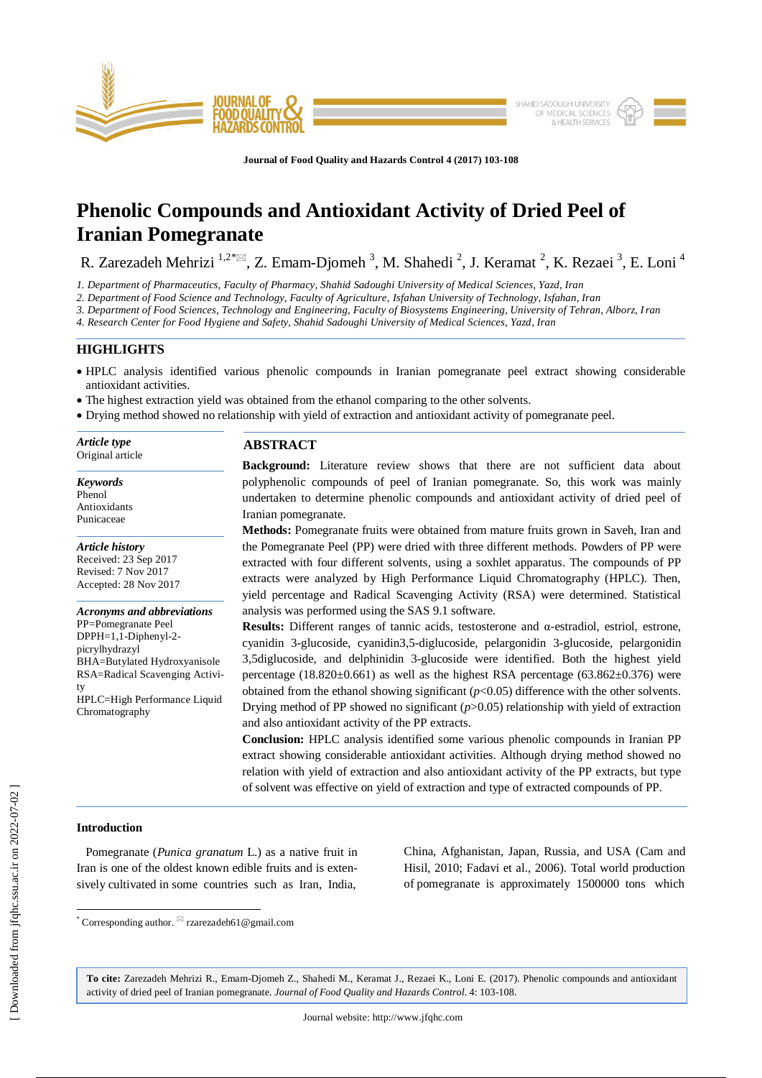

**Journal of Food Quality and Hazards Control 4 (2017) 103-108**

# **Phenolic Compounds and Antioxidant Activity of Dried Peel of Iranian Pomegranate**

R. Zarezadeh Mehrizi  $^{1,2}$ <sup>\*</sup> $\boxtimes$ , Z. Emam-Djomeh<sup>3</sup>, M. Shahedi<sup>2</sup>, J. Keramat<sup>2</sup>, K. Rezaei<sup>3</sup>, E. Loni<sup>4</sup>

*1. Department of Pharmaceutics, Faculty of Pharmacy, Shahid Sadoughi University of Medical Sciences, Yazd, Iran*

*2. Department of Food Science and Technology, Faculty of Agriculture, Isfahan University of Technology, Isfahan, Iran*

*3. Department of Food Sciences, Technology and Engineering, Faculty of Biosystems Engineering, University of Tehran, Alborz, Iran*

*4. Research Center for Food Hygiene and Safety, Shahid Sadoughi University of Medical Sciences, Yazd, Iran*

# **HIGHLIGHTS**

- HPLC analysis identified various phenolic compounds in Iranian pomegranate peel extract showing considerable antioxidant activities.
- The highest extraction yield was obtained from the ethanol comparing to the other solvents.
- Drying method showed no relationship with yield of extraction and antioxidant activity of pomegranate peel.

| Article type     | <b>ABSTRACT</b>                                                                     |  |  |  |  |  |
|------------------|-------------------------------------------------------------------------------------|--|--|--|--|--|
| Original article | <b>Background:</b> Literature review shows that there are not sufficient data about |  |  |  |  |  |

*Keywords* Phenol Antioxidants Punicaceae

*Article history* Received: 23 Sep 2017 Revised: 7 Nov 2017 Accepted: 28 Nov 2017

*Acronyms and abbreviations* PP=Pomegranate Peel DPPH=1,1-Diphenyl-2 picrylhydrazyl BHA=Butylated Hydroxyanisole RSA=Radical Scavenging Activity HPLC=High Performance Liquid Chromatography

**Background:** Literature review shows that there are not sufficient data about polyphenolic compounds of peel of Iranian pomegranate. So, this work was mainly undertaken to determine phenolic compounds and antioxidant activity of dried peel of Iranian pomegranate.

**Methods:** Pomegranate fruits were obtained from mature fruits grown in Saveh, Iran and the Pomegranate Peel (PP) were dried with three different methods. Powders of PP were extracted with four different solvents, using a soxhlet apparatus. The compounds of PP extracts were analyzed by High Performance Liquid Chromatography (HPLC). Then, yield percentage and Radical Scavenging Activity (RSA) were determined. Statistical analysis was performed using the SAS 9.1 software.

**Results:** Different ranges of tannic acids, testosterone and α-estradiol, estriol, estrone, cyanidin 3-glucoside, cyanidin3,5-diglucoside, pelargonidin 3-glucoside, pelargonidin 3,5diglucoside, and delphinidin 3-glucoside were identified. Both the highest yield percentage ( $18.820\pm0.661$ ) as well as the highest RSA percentage ( $63.862\pm0.376$ ) were obtained from the ethanol showing significant  $(p<0.05)$  difference with the other solvents. Drying method of PP showed no significant (*p*>0.05) relationship with yield of extraction and also antioxidant activity of the PP extracts.

**Conclusion:** HPLC analysis identified some various phenolic compounds in Iranian PP extract showing considerable antioxidant activities. Although drying method showed no relation with yield of extraction and also antioxidant activity of the PP extracts, but type of solvent was effective on yield of extraction and type of extracted compounds of PP.

## **Introduction**

 $\overline{\phantom{a}}$ 

 Pomegranate (*Punica granatum* L.) as a native fruit in Iran is one of the oldest known edible fruits and is extensively cultivated in some countries such as Iran, India,

China, Afghanistan, Japan, Russia, and USA (Cam and Hisil, 2010; Fadavi et al., 2006). Total world production of pomegranate is approximately 1500000 tons which

**To cite:** Zarezadeh Mehrizi R., Emam-Djomeh Z., Shahedi M., Keramat J., Rezaei K., Loni E. (2017). Phenolic compounds and antioxidant activity of dried peel of Iranian pomegranate. *Journal of Food Quality and Hazards Control*. 4: 103-108.

 $*$  Corresponding author.  $\boxtimes$  rzarezadeh61@gmail.com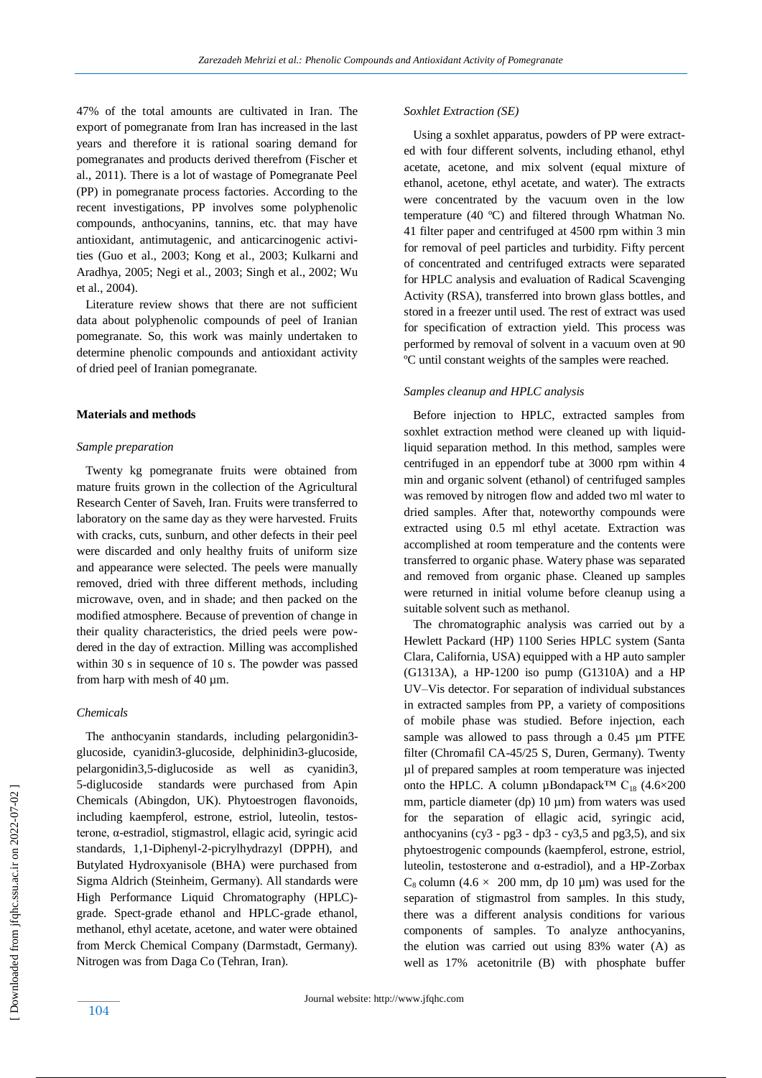47% of the total amounts are cultivated in Iran. The export of pomegranate from Iran has increased in the last years and therefore it is rational soaring demand for pomegranates and products derived therefrom (Fischer et al., 2011). There is a lot of wastage of Pomegranate Peel (PP) in pomegranate process factories. According to the recent investigations, PP involves some polyphenolic compounds, anthocyanins, tannins, etc. that may have antioxidant, antimutagenic, and anticarcinogenic activities (Guo et al., 2003; Kong et al., 2003; Kulkarni and Aradhya, 2005; Negi et al., 2003; Singh et al., 2002; Wu et al., 2004).

 Literature review shows that there are not sufficient data about polyphenolic compounds of peel of Iranian pomegranate. So, this work was mainly undertaken to determine phenolic compounds and antioxidant activity of dried peel of Iranian pomegranate.

## **Materials and methods**

#### *Sample preparation*

 Twenty kg pomegranate fruits were obtained from mature fruits grown in the collection of the Agricultural Research Center of Saveh, Iran. Fruits were transferred to laboratory on the same day as they were harvested. Fruits with cracks, cuts, sunburn, and other defects in their peel were discarded and only healthy fruits of uniform size and appearance were selected. The peels were manually removed, dried with three different methods, including microwave, oven, and in shade; and then packed on the modified atmosphere. Because of prevention of change in their quality characteristics, the dried peels were powdered in the day of extraction. Milling was accomplished within 30 s in sequence of 10 s. The powder was passed from harp with mesh of 40 µm.

## *Chemicals*

 The anthocyanin standards, including pelargonidin3 glucoside, cyanidin3-glucoside, delphinidin3-glucoside, pelargonidin3,5-diglucoside as well as cyanidin3, 5-diglucoside standards were purchased from Apin Chemicals (Abingdon, UK). Phytoestrogen flavonoids, including kaempferol, estrone, estriol, luteolin, testosterone, α-estradiol, stigmastrol, ellagic acid, syringic acid standards, 1,1-Diphenyl-2-picrylhydrazyl (DPPH), and Butylated Hydroxyanisole (BHA) were purchased from Sigma Aldrich (Steinheim, Germany). All standards were High Performance Liquid Chromatography (HPLC) grade. Spect-grade ethanol and HPLC-grade ethanol, methanol, ethyl acetate, acetone, and water were obtained from Merck Chemical Company (Darmstadt, Germany). Nitrogen was from Daga Co (Tehran, Iran).

## *Soxhlet Extraction (SE)*

 Using a soxhlet apparatus, powders of PP were extracted with four different solvents, including ethanol, ethyl acetate, acetone, and mix solvent (equal mixture of ethanol, acetone, ethyl acetate, and water). The extracts were concentrated by the vacuum oven in the low temperature (40 ºC) and filtered through Whatman No. 41 filter paper and centrifuged at 4500 rpm within 3 min for removal of peel particles and turbidity. Fifty percent of concentrated and centrifuged extracts were separated for HPLC analysis and evaluation of Radical Scavenging Activity (RSA), transferred into brown glass bottles, and stored in a freezer until used. The rest of extract was used for specification of extraction yield. This process was performed by removal of solvent in a vacuum oven at 90 ºC until constant weights of the samples were reached.

## *Samples cleanup and HPLC analysis*

 Before injection to HPLC, extracted samples from soxhlet extraction method were cleaned up with liquidliquid separation method. In this method, samples were centrifuged in an eppendorf tube at 3000 rpm within 4 min and organic solvent (ethanol) of centrifuged samples was removed by nitrogen flow and added two ml water to dried samples. After that, noteworthy compounds were extracted using 0.5 ml ethyl acetate. Extraction was accomplished at room temperature and the contents were transferred to organic phase. Watery phase was separated and removed from organic phase. Cleaned up samples were returned in initial volume before cleanup using a suitable solvent such as methanol.

 The chromatographic analysis was carried out by a Hewlett Packard (HP) 1100 Series HPLC system (Santa Clara, California, USA) equipped with a HP auto sampler (G1313A), a HP-1200 iso pump (G1310A) and a HP UV–Vis detector. For separation of individual substances in extracted samples from PP, a variety of compositions of mobile phase was studied. Before injection, each sample was allowed to pass through a 0.45 um PTFE filter (Chromafil CA-45/25 S, Duren, Germany). Twenty µl of prepared samples at room temperature was injected onto the HPLC. A column µBondapack<sup>™</sup> C<sub>18</sub> (4.6×200 mm, particle diameter (dp)  $10 \mu m$ ) from waters was used for the separation of ellagic acid, syringic acid, anthocyanins (cy3 - pg3 - dp3 - cy3,5 and pg3,5), and six phytoestrogenic compounds (kaempferol, estrone, estriol, luteolin, testosterone and α-estradiol), and a HP-Zorbax  $C_8$  column (4.6  $\times$  200 mm, dp 10 µm) was used for the separation of stigmastrol from samples. In this study, there was a different analysis conditions for various components of samples. To analyze anthocyanins, the elution was carried out using 83% water (A) as well as 17% acetonitrile (B) with phosphate buffer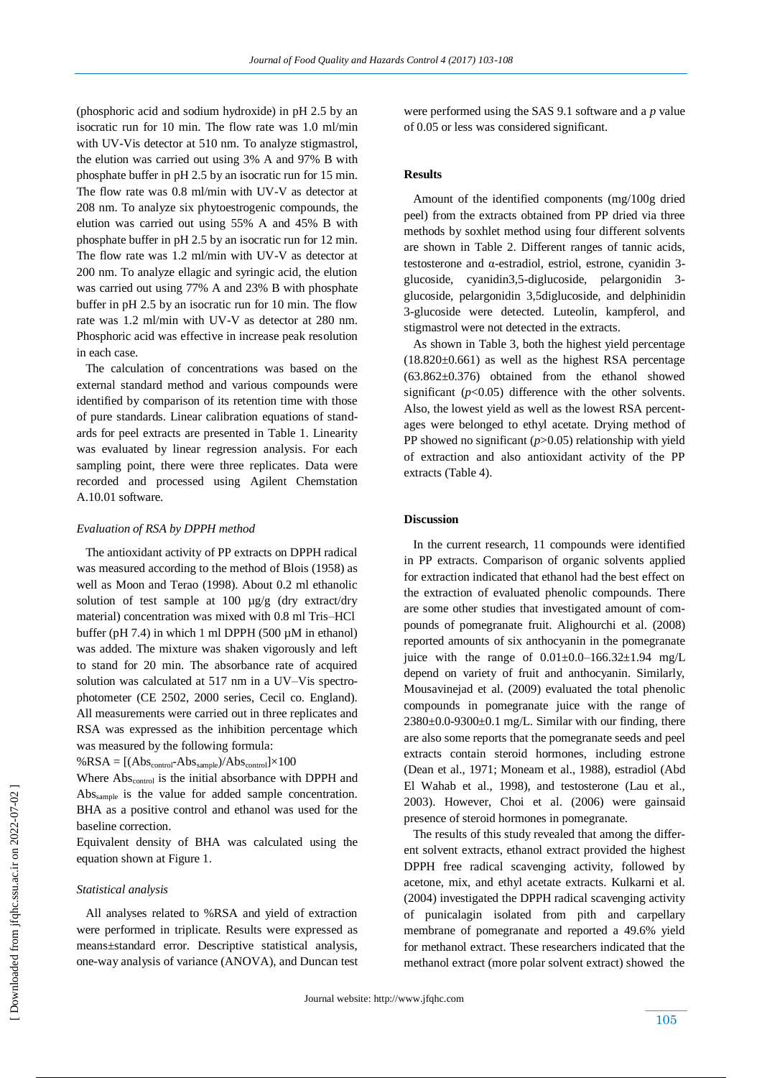(phosphoric acid and sodium hydroxide) in pH 2.5 by an isocratic run for 10 min. The flow rate was 1.0 ml/min with UV-Vis detector at 510 nm. To analyze stigmastrol, the elution was carried out using 3% A and 97% B with phosphate buffer in pH 2.5 by an isocratic run for 15 min. The flow rate was 0.8 ml/min with UV-V as detector at 208 nm. To analyze six phytoestrogenic compounds, the elution was carried out using 55% A and 45% B with phosphate buffer in pH 2.5 by an isocratic run for 12 min. The flow rate was 1.2 ml/min with UV-V as detector at 200 nm. To analyze ellagic and syringic acid, the elution was carried out using 77% A and 23% B with phosphate buffer in pH 2.5 by an isocratic run for 10 min. The flow rate was 1.2 ml/min with UV-V as detector at 280 nm. Phosphoric acid was effective in increase peak resolution in each case.

 The calculation of concentrations was based on the external standard method and various compounds were identified by comparison of its retention time with those of pure standards. Linear calibration equations of standards for peel extracts are presented in Table 1. Linearity was evaluated by linear regression analysis. For each sampling point, there were three replicates. Data were recorded and processed using Agilent Chemstation A.10.01 software.

#### *Evaluation of RSA by DPPH method*

 The antioxidant activity of PP extracts on DPPH radical was measured according to the method of Blois (1958) as well as Moon and Terao (1998). About 0.2 ml ethanolic solution of test sample at 100  $\mu$ g/g (dry extract/dry material) concentration was mixed with 0.8 ml Tris–HCl buffer (pH 7.4) in which 1 ml DPPH (500  $\mu$ M in ethanol) was added. The mixture was shaken vigorously and left to stand for 20 min. The absorbance rate of acquired solution was calculated at 517 nm in a UV–Vis spectrophotometer (CE 2502, 2000 series, Cecil co. England). All measurements were carried out in three replicates and RSA was expressed as the inhibition percentage which was measured by the following formula:

 $%RSA = [(Abs_{control}-Abs_{sample})/Abs_{control}] \times 100$ 

Where Abs<sub>control</sub> is the initial absorbance with DPPH and Abssample is the value for added sample concentration. BHA as a positive control and ethanol was used for the baseline correction.

Equivalent density of BHA was calculated using the equation shown at Figure 1.

#### *Statistical analysis*

 All analyses related to %RSA and yield of extraction were performed in triplicate. Results were expressed as means±standard error. Descriptive statistical analysis, one-way analysis of variance (ANOVA), and Duncan test were performed using the SAS 9.1 software and a *p* value of 0.05 or less was considered significant.

## **Results**

 Amount of the identified components (mg/100g dried peel) from the extracts obtained from PP dried via three methods by soxhlet method using four different solvents are shown in Table 2. Different ranges of tannic acids, testosterone and α-estradiol, estriol, estrone, cyanidin 3 glucoside, cyanidin3,5-diglucoside, pelargonidin 3 glucoside, pelargonidin 3,5diglucoside, and delphinidin 3-glucoside were detected. Luteolin, kampferol, and stigmastrol were not detected in the extracts.

 As shown in Table 3, both the highest yield percentage  $(18.820 \pm 0.661)$  as well as the highest RSA percentage  $(63.862 \pm 0.376)$  obtained from the ethanol showed significant  $(p<0.05)$  difference with the other solvents. Also, the lowest yield as well as the lowest RSA percentages were belonged to ethyl acetate. Drying method of PP showed no significant (*p*>0.05) relationship with yield of extraction and also antioxidant activity of the PP extracts (Table 4).

#### **Discussion**

 In the current research, 11 compounds were identified in PP extracts. Comparison of organic solvents applied for extraction indicated that ethanol had the best effect on the extraction of evaluated phenolic compounds. There are some other studies that investigated amount of compounds of pomegranate fruit. Alighourchi et al. (2008) reported amounts of six anthocyanin in the pomegranate juice with the range of  $0.01\pm0.0$ –166.32 $\pm1.94$  mg/L depend on variety of fruit and anthocyanin. Similarly, Mousavinejad et al. (2009) evaluated the total phenolic compounds in pomegranate juice with the range of  $2380\pm0.0-9300\pm0.1$  mg/L. Similar with our finding, there are also some reports that the pomegranate seeds and peel extracts contain steroid hormones, including estrone (Dean et al., 1971; Moneam et al., 1988), estradiol (Abd El Wahab et al., 1998), and testosterone (Lau et al., 2003). However, Choi et al. (2006) were gainsaid presence of steroid hormones in pomegranate.

 The results of this study revealed that among the different solvent extracts, ethanol extract provided the highest DPPH free radical scavenging activity, followed by acetone, mix, and ethyl acetate extracts. Kulkarni et al. (2004) investigated the DPPH radical scavenging activity of punicalagin isolated from pith and carpellary membrane of pomegranate and reported a 49.6% yield for methanol extract. These researchers indicated that the methanol extract (more polar solvent extract) showed the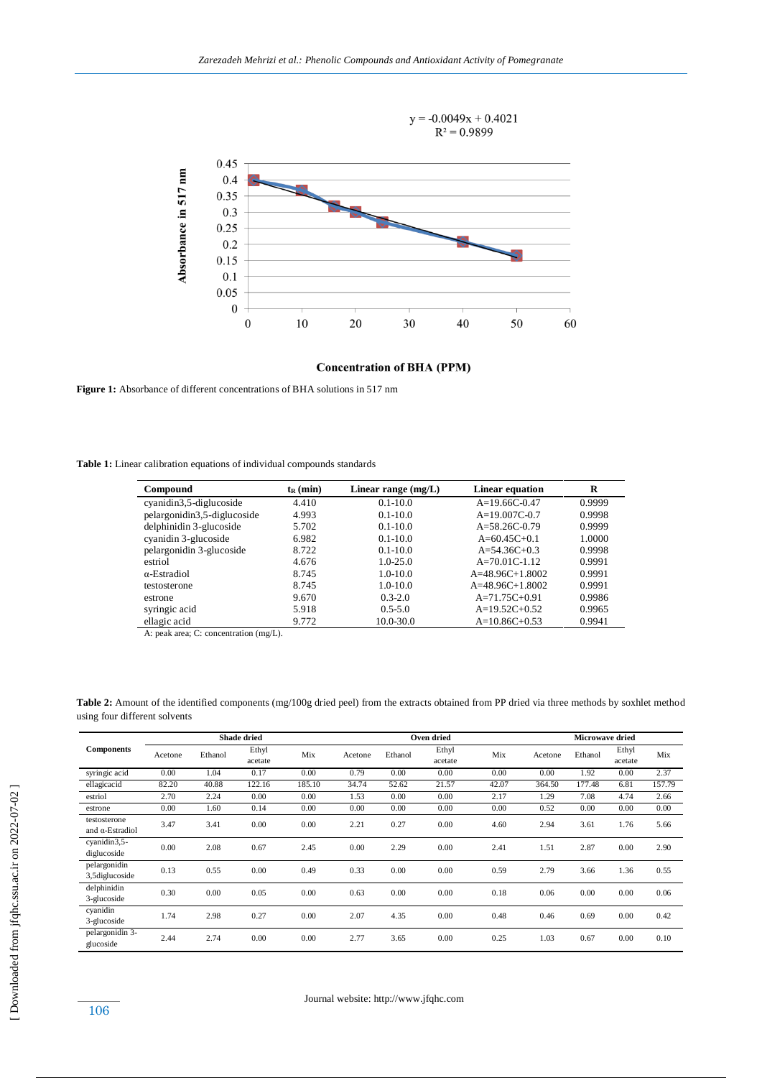

**Concentration of BHA (PPM)** 

Figure 1: Absorbance of different concentrations of BHA solutions in 517 nm

**Table 1:** Linear calibration equations of individual compounds standards

| Compound                    | $t_{R}$ (min) | Linear range $(mg/L)$ | Linear equation   | R      |
|-----------------------------|---------------|-----------------------|-------------------|--------|
| cyanidin3,5-diglucoside     | 4.410         | $0.1 - 10.0$          | $A=19.66C-0.47$   | 0.9999 |
| pelargonidin3,5-diglucoside | 4.993         | $0.1 - 10.0$          | $A=19.007C-0.7$   | 0.9998 |
| delphinidin 3-glucoside     | 5.702         | $0.1 - 10.0$          | $A=58.26C-0.79$   | 0.9999 |
| cyanidin 3-glucoside        | 6.982         | $0.1 - 10.0$          | $A=60.45C+0.1$    | 1.0000 |
| pelargonidin 3-glucoside    | 8.722         | $0.1 - 10.0$          | $A=54.36C+0.3$    | 0.9998 |
| estriol                     | 4.676         | $1.0 - 25.0$          | $A=70.01C-1.12$   | 0.9991 |
| $\alpha$ -Estradiol         | 8.745         | $1.0 - 10.0$          | $A=48.96C+1.8002$ | 0.9991 |
| testosterone                | 8.745         | $1.0 - 10.0$          | $A=48.96C+1.8002$ | 0.9991 |
| estrone                     | 9.670         | $0.3 - 2.0$           | $A=71.75C+0.91$   | 0.9986 |
| syringic acid               | 5.918         | $0.5 - 5.0$           | $A=19.52C+0.52$   | 0.9965 |
| ellagic acid                | 9.772         | $10.0 - 30.0$         | $A=10.86C+0.53$   | 0.9941 |

A: peak area; C: concentration (mg/L).

**Table 2:** Amount of the identified components (mg/100g dried peel) from the extracts obtained from PP dried via three methods by soxhlet method using four different solvents

|                                         |         |         | <b>Shade dried</b> |        |         |         | Oven dried       |       |         | <b>Microwave dried</b> |                  |        |
|-----------------------------------------|---------|---------|--------------------|--------|---------|---------|------------------|-------|---------|------------------------|------------------|--------|
| <b>Components</b>                       | Acetone | Ethanol | Ethyl<br>acetate   | Mix    | Acetone | Ethanol | Ethyl<br>acetate | Mix   | Acetone | Ethanol                | Ethyl<br>acetate | Mix    |
| syringic acid                           | 0.00    | 1.04    | 0.17               | 0.00   | 0.79    | 0.00    | 0.00             | 0.00  | 0.00    | 1.92                   | 0.00             | 2.37   |
| ellagicacid                             | 82.20   | 40.88   | 122.16             | 185.10 | 34.74   | 52.62   | 21.57            | 42.07 | 364.50  | 177.48                 | 6.81             | 157.79 |
| estriol                                 | 2.70    | 2.24    | 0.00               | 0.00   | 1.53    | 0.00    | 0.00             | 2.17  | 1.29    | 7.08                   | 4.74             | 2.66   |
| estrone                                 | 0.00    | 1.60    | 0.14               | 0.00   | 0.00    | 0.00    | 0.00             | 0.00  | 0.52    | 0.00                   | 0.00             | 0.00   |
| testosterone<br>and $\alpha$ -Estradiol | 3.47    | 3.41    | 0.00               | 0.00   | 2.21    | 0.27    | 0.00             | 4.60  | 2.94    | 3.61                   | 1.76             | 5.66   |
| cyanidin3,5-<br>diglucoside             | 0.00    | 2.08    | 0.67               | 2.45   | 0.00    | 2.29    | 0.00             | 2.41  | 1.51    | 2.87                   | 0.00             | 2.90   |
| pelargonidin<br>3,5diglucoside          | 0.13    | 0.55    | 0.00               | 0.49   | 0.33    | 0.00    | 0.00             | 0.59  | 2.79    | 3.66                   | 1.36             | 0.55   |
| delphinidin<br>3-glucoside              | 0.30    | 0.00    | 0.05               | 0.00   | 0.63    | 0.00    | 0.00             | 0.18  | 0.06    | 0.00                   | 0.00             | 0.06   |
| cyanidin<br>3-glucoside                 | 1.74    | 2.98    | 0.27               | 0.00   | 2.07    | 4.35    | 0.00             | 0.48  | 0.46    | 0.69                   | 0.00             | 0.42   |
| pelargonidin 3-<br>glucoside            | 2.44    | 2.74    | 0.00               | 0.00   | 2.77    | 3.65    | 0.00             | 0.25  | 1.03    | 0.67                   | 0.00             | 0.10   |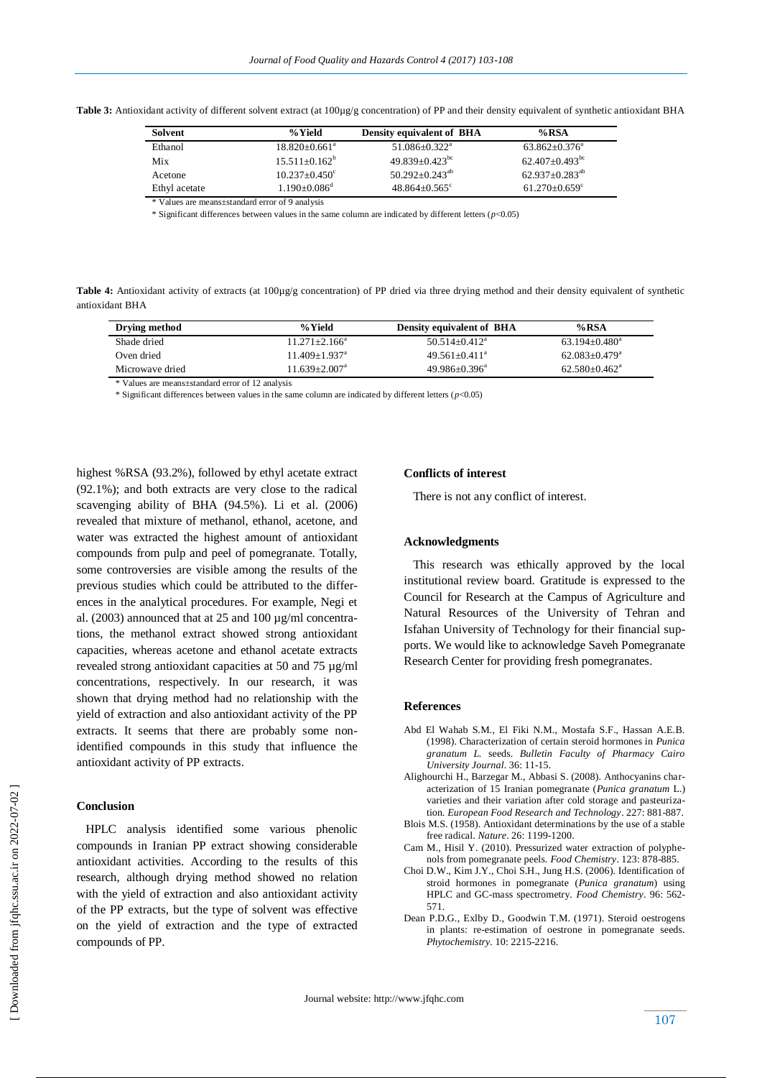Table 3: Antioxidant activity of different solvent extract (at 100µg/g concentration) of PP and their density equivalent of synthetic antioxidant BHA

| Solvent       | %Yield                       | <b>Density equivalent of BHA</b> | $%$ RSA                       |
|---------------|------------------------------|----------------------------------|-------------------------------|
| Ethanol       | $18.820 + 0.661^a$           | $51.086 \pm 0.322$ <sup>a</sup>  | $63.862 + 0.376^a$            |
| Mix           | $15.511 + 0.162^b$           | $49.839 + 0.423$ <sup>bc</sup>   | $62.407+0.493^{bc}$           |
| Acetone       | $10.237+0.450^{\circ}$       | $50.292 + 0.243$ <sup>ab</sup>   | $62.937+0.283^{ab}$           |
| Ethyl acetate | $1.190 + 0.086$ <sup>d</sup> | $48.864+0.565^{\circ}$           | $61.270 + 0.659$ <sup>c</sup> |
| .             |                              |                                  |                               |

\* Values are means±standard error of 9 analysis

\* Significant differences between values in the same column are indicated by different letters (*p*<0.05)

Table 4: Antioxidant activity of extracts (at 100µg/g concentration) of PP dried via three drying method and their density equivalent of synthetic antioxidant BHA

| Drying method   | % Yield                       | <b>Density equivalent of BHA</b> | %RSA                          |
|-----------------|-------------------------------|----------------------------------|-------------------------------|
| Shade dried     | $11.271 + 2.166^a$            | $50.514 + 0.412^a$               | $63.194 + 0.480^a$            |
| Oven dried      | $11.409 + 1.937$ <sup>a</sup> | $49.561 + 0.411^a$               | $62.083 + 0.479$ <sup>a</sup> |
| Microwave dried | $11.639 + 2.007a$             | $49.986 + 0.396^a$               | $62.580 + 0.462^a$            |

\* Values are means±standard error of 12 analysis

\* Significant differences between values in the same column are indicated by different letters (*p*<0.05)

highest %RSA (93.2%), followed by ethyl acetate extract (92.1%); and both extracts are very close to the radical scavenging ability of BHA (94.5%). Li et al. (2006) revealed that mixture of methanol, ethanol, acetone, and water was extracted the highest amount of antioxidant compounds from pulp and peel of pomegranate. Totally, some controversies are visible among the results of the previous studies which could be attributed to the differences in the analytical procedures. For example, Negi et al. (2003) announced that at 25 and 100 µg/ml concentrations, the methanol extract showed strong antioxidant capacities, whereas acetone and ethanol acetate extracts revealed strong antioxidant capacities at 50 and 75 µg/ml concentrations, respectively. In our research, it was shown that drying method had no relationship with the yield of extraction and also antioxidant activity of the PP extracts. It seems that there are probably some nonidentified compounds in this study that influence the antioxidant activity of PP extracts.

# **Conclusion**

 HPLC analysis identified some various phenolic compounds in Iranian PP extract showing considerable antioxidant activities. According to the results of this research, although drying method showed no relation with the yield of extraction and also antioxidant activity of the PP extracts, but the type of solvent was effective on the yield of extraction and the type of extracted compounds of PP.

# **Conflicts of interest**

There is not any conflict of interest.

#### **Acknowledgments**

 This research was ethically approved by the local institutional review board. Gratitude is expressed to the Council for Research at the Campus of Agriculture and Natural Resources of the University of Tehran and Isfahan University of Technology for their financial supports. We would like to acknowledge Saveh Pomegranate Research Center for providing fresh pomegranates.

#### **References**

- Abd El Wahab S.M., El Fiki N.M., Mostafa S.F., Hassan A.E.B. (1998). Characterization of certain steroid hormones in *Punica granatum L.* seeds. *Bulletin Faculty of Pharmacy Cairo University Journal*. 36: 11-15.
- Alighourchi H., Barzegar M., Abbasi S. (2008). Anthocyanins characterization of 15 Iranian pomegranate (*Punica granatum* L.) varieties and their variation after cold storage and pasteurization. *European Food Research and Technology*. 227: 881-887.
- Blois M.S. (1958). Antioxidant determinations by the use of a stable free radical. *Nature*. 26: 1199-1200.
- Cam M., Hisil Y. (2010). Pressurized water extraction of polyphenols from pomegranate peels. *Food Chemistry*. 123: 878-885.
- Choi D.W., Kim J.Y., Choi S.H., Jung H.S. (2006). Identification of stroid hormones in pomegranate (*Punica granatum*) using HPLC and GC-mass spectrometry. *Food Chemistry*. 96: 562- 571.
- Dean P.D.G., Exlby D., Goodwin T.M. (1971). Steroid oestrogens in plants: re-estimation of oestrone in pomegranate seeds. *Phytochemistry.* 10: 2215-2216.